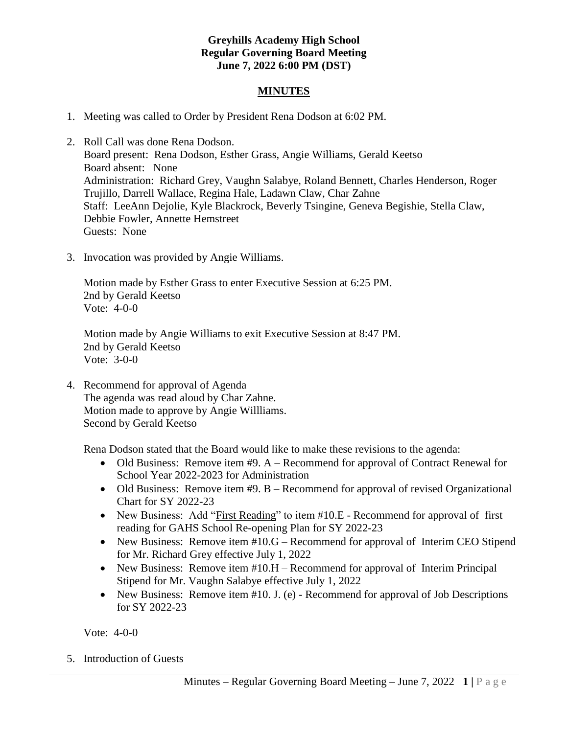### **Greyhills Academy High School Regular Governing Board Meeting June 7, 2022 6:00 PM (DST)**

#### **MINUTES**

- 1. Meeting was called to Order by President Rena Dodson at 6:02 PM.
- 2. Roll Call was done Rena Dodson. Board present: Rena Dodson, Esther Grass, Angie Williams, Gerald Keetso Board absent: None Administration: Richard Grey, Vaughn Salabye, Roland Bennett, Charles Henderson, Roger Trujillo, Darrell Wallace, Regina Hale, Ladawn Claw, Char Zahne Staff: LeeAnn Dejolie, Kyle Blackrock, Beverly Tsingine, Geneva Begishie, Stella Claw, Debbie Fowler, Annette Hemstreet Guests: None
- 3. Invocation was provided by Angie Williams.

Motion made by Esther Grass to enter Executive Session at 6:25 PM. 2nd by Gerald Keetso Vote: 4-0-0

Motion made by Angie Williams to exit Executive Session at 8:47 PM. 2nd by Gerald Keetso Vote: 3-0-0

4. Recommend for approval of Agenda The agenda was read aloud by Char Zahne. Motion made to approve by Angie Willliams. Second by Gerald Keetso

Rena Dodson stated that the Board would like to make these revisions to the agenda:

- Old Business: Remove item #9. A Recommend for approval of Contract Renewal for School Year 2022-2023 for Administration
- Old Business: Remove item #9. B Recommend for approval of revised Organizational Chart for SY 2022-23
- New Business: Add "First Reading" to item #10.E Recommend for approval of first reading for GAHS School Re-opening Plan for SY 2022-23
- New Business: Remove item #10.G Recommend for approval of Interim CEO Stipend for Mr. Richard Grey effective July 1, 2022
- New Business: Remove item #10.H Recommend for approval of Interim Principal Stipend for Mr. Vaughn Salabye effective July 1, 2022
- New Business: Remove item #10. J. (e) Recommend for approval of Job Descriptions for SY 2022-23

Vote: 4-0-0

5. Introduction of Guests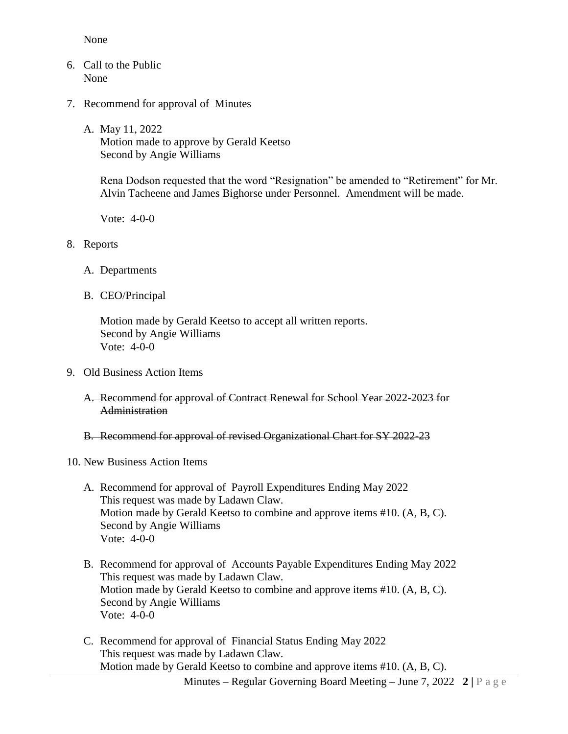None

- 6. Call to the Public None
- 7. Recommend for approval of Minutes
	- A. May 11, 2022 Motion made to approve by Gerald Keetso Second by Angie Williams

Rena Dodson requested that the word "Resignation" be amended to "Retirement" for Mr. Alvin Tacheene and James Bighorse under Personnel. Amendment will be made.

Vote: 4-0-0

- 8. Reports
	- A. Departments
	- B. CEO/Principal

Motion made by Gerald Keetso to accept all written reports. Second by Angie Williams Vote: 4-0-0

- 9. Old Business Action Items
	- A. Recommend for approval of Contract Renewal for School Year 2022-2023 for **Administration**

#### B. Recommend for approval of revised Organizational Chart for SY 2022-23

#### 10. New Business Action Items

- A. Recommend for approval of Payroll Expenditures Ending May 2022 This request was made by Ladawn Claw. Motion made by Gerald Keetso to combine and approve items #10. (A, B, C). Second by Angie Williams Vote: 4-0-0
- B. Recommend for approval of Accounts Payable Expenditures Ending May 2022 This request was made by Ladawn Claw. Motion made by Gerald Keetso to combine and approve items #10. (A, B, C). Second by Angie Williams Vote: 4-0-0
- C. Recommend for approval of Financial Status Ending May 2022 This request was made by Ladawn Claw. Motion made by Gerald Keetso to combine and approve items #10. (A, B, C).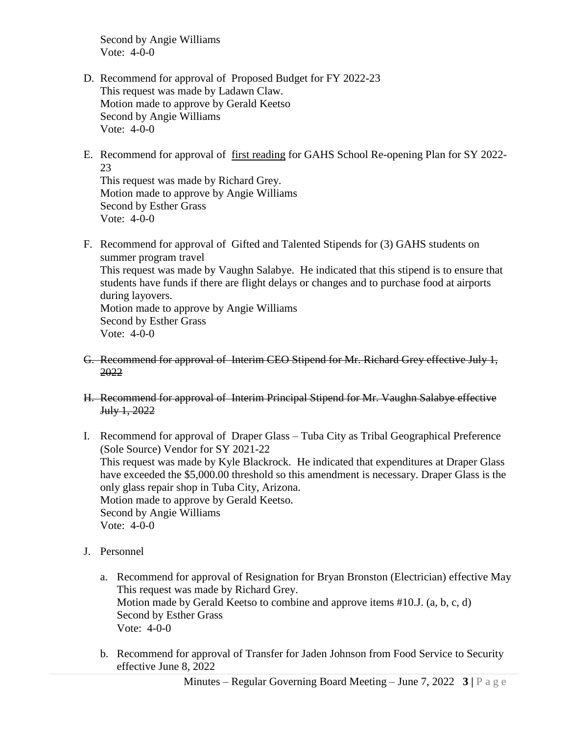Second by Angie Williams Vote: 4-0-0

- D. Recommend for approval of Proposed Budget for FY 2022-23 This request was made by Ladawn Claw. Motion made to approve by Gerald Keetso Second by Angie Williams Vote: 4-0-0
- E. Recommend for approval of first reading for GAHS School Re-opening Plan for SY 2022- 23

This request was made by Richard Grey. Motion made to approve by Angie Williams Second by Esther Grass Vote: 4-0-0

- F. Recommend for approval of Gifted and Talented Stipends for (3) GAHS students on summer program travel This request was made by Vaughn Salabye. He indicated that this stipend is to ensure that students have funds if there are flight delays or changes and to purchase food at airports during layovers. Motion made to approve by Angie Williams Second by Esther Grass Vote: 4-0-0
- G. Recommend for approval of Interim CEO Stipend for Mr. Richard Grey effective July 1, 2022
- H. Recommend for approval of Interim Principal Stipend for Mr. Vaughn Salabye effective July 1, 2022
- I. Recommend for approval of Draper Glass Tuba City as Tribal Geographical Preference (Sole Source) Vendor for SY 2021-22 This request was made by Kyle Blackrock. He indicated that expenditures at Draper Glass have exceeded the \$5,000.00 threshold so this amendment is necessary. Draper Glass is the only glass repair shop in Tuba City, Arizona. Motion made to approve by Gerald Keetso. Second by Angie Williams Vote: 4-0-0
- J. Personnel
	- a. Recommend for approval of Resignation for Bryan Bronston (Electrician) effective May This request was made by Richard Grey. Motion made by Gerald Keetso to combine and approve items #10.J. (a, b, c, d) Second by Esther Grass Vote: 4-0-0
	- b. Recommend for approval of Transfer for Jaden Johnson from Food Service to Security effective June 8, 2022